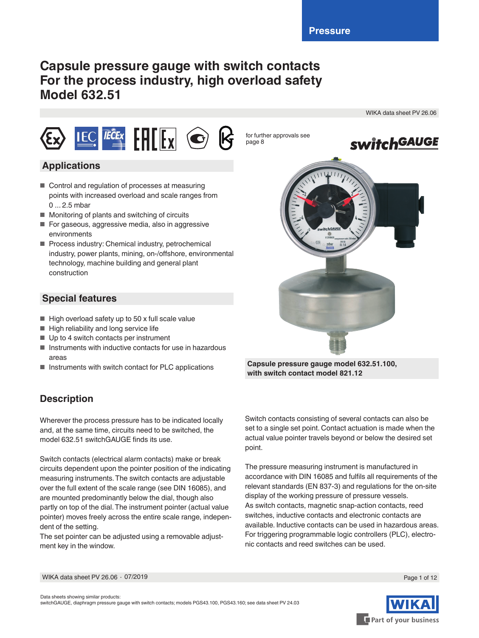# **Capsule pressure gauge with switch contacts For the process industry, high overload safety Model 632.51**

WIKA data sheet PV 26.06



### **Applications**

- Control and regulation of processes at measuring points with increased overload and scale ranges from 0 ... 2.5 mbar
- Monitoring of plants and switching of circuits
- For gaseous, aggressive media, also in aggressive environments
- Process industry: Chemical industry, petrochemical industry, power plants, mining, on-/offshore, environmental technology, machine building and general plant construction

### **Special features**

- High overload safety up to 50 x full scale value
- High reliability and long service life
- Up to 4 switch contacts per instrument
- Instruments with inductive contacts for use in hazardous areas
- Instruments with switch contact for PLC applications

# **Description**

Wherever the process pressure has to be indicated locally and, at the same time, circuits need to be switched, the model 632.51 switchGAUGE finds its use.

Switch contacts (electrical alarm contacts) make or break circuits dependent upon the pointer position of the indicating measuring instruments. The switch contacts are adjustable over the full extent of the scale range (see DIN 16085), and are mounted predominantly below the dial, though also partly on top of the dial. The instrument pointer (actual value pointer) moves freely across the entire scale range, independent of the setting.

The set pointer can be adjusted using a removable adjustment key in the window.



**Capsule pressure gauge model 632.51.100, with switch contact model 821.12**

Switch contacts consisting of several contacts can also be set to a single set point. Contact actuation is made when the actual value pointer travels beyond or below the desired set point.

The pressure measuring instrument is manufactured in accordance with DIN 16085 and fulfils all requirements of the relevant standards (EN 837-3) and regulations for the on-site display of the working pressure of pressure vessels. As switch contacts, magnetic snap-action contacts, reed switches, inductive contacts and electronic contacts are available. Inductive contacts can be used in hazardous areas. For triggering programmable logic controllers (PLC), electronic contacts and reed switches can be used.



WIKA data sheet PV 26.06 ∙ 07/2019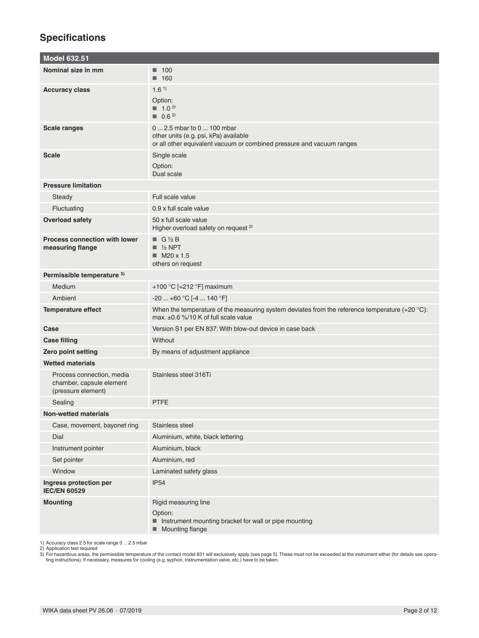# **Specifications**

| <b>Model 632.51</b>                                                         |                                                                                                                                                       |
|-----------------------------------------------------------------------------|-------------------------------------------------------------------------------------------------------------------------------------------------------|
| Nominal size in mm                                                          | $\blacksquare$ 100<br>■ 160                                                                                                                           |
| <b>Accuracy class</b>                                                       | 1.6 <sup>1</sup><br>Option:<br>$1.0^{2}$<br>$\blacksquare$ 0.6 <sup>2)</sup>                                                                          |
| <b>Scale ranges</b>                                                         | 0  2.5 mbar to 0  100 mbar<br>other units (e.g. psi, kPa) available<br>or all other equivalent vacuum or combined pressure and vacuum ranges          |
| <b>Scale</b>                                                                | Single scale<br>Option:<br>Dual scale                                                                                                                 |
| <b>Pressure limitation</b>                                                  |                                                                                                                                                       |
| Steady                                                                      | Full scale value                                                                                                                                      |
| Fluctuating                                                                 | 0.9 x full scale value                                                                                                                                |
| <b>Overload safety</b>                                                      | 50 x full scale value<br>Higher overload safety on request <sup>2)</sup>                                                                              |
| <b>Process connection with lower</b><br>measuring flange                    | $\blacksquare$ G 1/2 B<br>$\blacksquare$ 1/2 NPT<br>$M20 \times 1.5$<br>others on request                                                             |
| Permissible temperature 3)                                                  |                                                                                                                                                       |
| Medium                                                                      | +100 °C [+212 °F] maximum                                                                                                                             |
| Ambient                                                                     | $-20$ +60 °C [-4  140 °F]                                                                                                                             |
| <b>Temperature effect</b>                                                   | When the temperature of the measuring system deviates from the reference temperature $(+20 \degree C)$ :<br>max. $\pm 0.6$ %/10 K of full scale value |
| Case                                                                        | Version S1 per EN 837: With blow-out device in case back                                                                                              |
| <b>Case filling</b>                                                         | Without                                                                                                                                               |
| <b>Zero point setting</b>                                                   | By means of adjustment appliance                                                                                                                      |
| <b>Wetted materials</b>                                                     |                                                                                                                                                       |
| Process connection, media<br>chamber, capsule element<br>(pressure element) | Stainless steel 316Ti                                                                                                                                 |
| Sealing                                                                     | PTFE                                                                                                                                                  |
| <b>Non-wetted materials</b>                                                 |                                                                                                                                                       |
| Case, movement, bayonet ring                                                | Stainless steel                                                                                                                                       |
| Dial                                                                        | Aluminium, white, black lettering                                                                                                                     |
| Instrument pointer                                                          | Aluminium, black                                                                                                                                      |
| Set pointer                                                                 | Aluminium, red                                                                                                                                        |
| Window                                                                      | Laminated safety glass                                                                                                                                |
| Ingress protection per<br><b>IEC/EN 60529</b>                               | <b>IP54</b>                                                                                                                                           |
| <b>Mounting</b>                                                             | Rigid measuring line<br>Option:<br>Instrument mounting bracket for wall or pipe mounting<br>■ Mounting flange                                         |

1) Accuracy class 2.5 for scale range 0 … 2.5 mbar<br>2) Application test required<br>3) For hazardous areas, the permissible temperature of the contact model 831 will exclusively apply (see page 5). These must not be exceeded a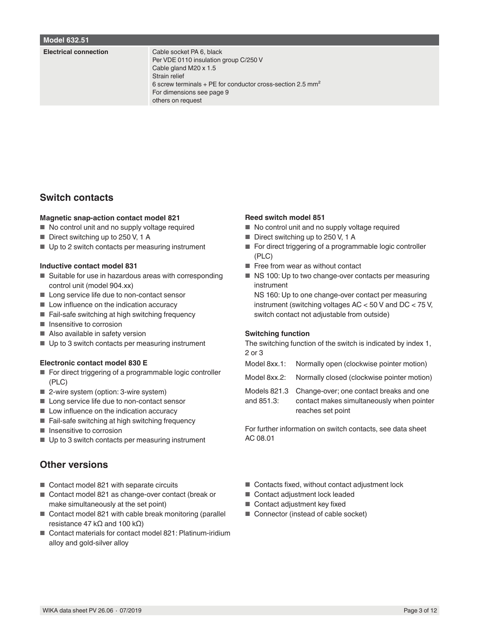#### **Model 632.51**

#### **Electrical connection** Cable socket PA 6, black

Per VDE 0110 insulation group C/250 V Cable gland M20 x 1.5 Strain relief 6 screw terminals + PE for conductor cross-section 2.5 mm² For dimensions see page 9 others on request

### **Switch contacts**

#### **Magnetic snap-action contact model 821**

- No control unit and no supply voltage required
- Direct switching up to 250 V, 1 A
- Up to 2 switch contacts per measuring instrument

#### **Inductive contact model 831**

- Suitable for use in hazardous areas with corresponding control unit (model 904.xx)
- Long service life due to non-contact sensor
- Low influence on the indication accuracy
- Fail-safe switching at high switching frequency
- Insensitive to corrosion
- Also available in safety version
- Up to 3 switch contacts per measuring instrument

### **Electronic contact model 830 E**

- For direct triggering of a programmable logic controller (PLC)
- 2-wire system (option: 3-wire system)
- Long service life due to non-contact sensor
- Low influence on the indication accuracy
- Fail-safe switching at high switching frequency
- Insensitive to corrosion
- Up to 3 switch contacts per measuring instrument

### **Other versions**

- Contact model 821 with separate circuits
- Contact model 821 as change-over contact (break or make simultaneously at the set point)
- Contact model 821 with cable break monitoring (parallel resistance 47 kΩ and 100 kΩ)
- Contact materials for contact model 821: Platinum-iridium alloy and gold-silver alloy

### **Reed switch model 851**

- No control unit and no supply voltage required
- Direct switching up to 250 V, 1 A
- For direct triggering of a programmable logic controller (PLC)
- Free from wear as without contact
- NS 100: Up to two change-over contacts per measuring instrument

NS 160: Up to one change-over contact per measuring instrument (switching voltages AC < 50 V and DC < 75 V, switch contact not adjustable from outside)

### **Switching function**

The switching function of the switch is indicated by index 1, 2 or 3

- Model 8xx.1: Normally open (clockwise pointer motion)
- Model 8xx.2: Normally closed (clockwise pointer motion)
- Models 821.3 and 851.3: Change-over; one contact breaks and one
	- contact makes simultaneously when pointer reaches set point

For further information on switch contacts, see data sheet AC 08.01

- Contacts fixed, without contact adjustment lock
- Contact adjustment lock leaded
- Contact adjustment key fixed
- Connector (instead of cable socket)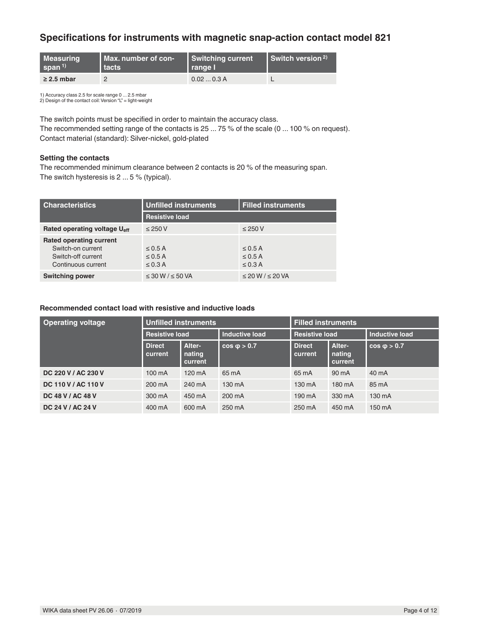### **Specifications for instruments with magnetic snap-action contact model 821**

| <b>Measuring</b>   | Max. number of con- | Switching current | Switch version $2$ ) |  |
|--------------------|---------------------|-------------------|----------------------|--|
| span <sup>1)</sup> | <b>Ltacts</b>       | Il range l'       |                      |  |
| $\geq$ 2.5 mbar    |                     | 0.020.3A          |                      |  |

1) Accuracy class 2.5 for scale range 0 ... 2.5 mbar 2) Design of the contact coil: Version "L" = light-weight

The switch points must be specified in order to maintain the accuracy class. The recommended setting range of the contacts is 25 ... 75 % of the scale (0 ... 100 % on request). Contact material (standard): Silver-nickel, gold-plated

#### **Setting the contacts**

The recommended minimum clearance between 2 contacts is 20 % of the measuring span. The switch hysteresis is 2 ... 5 % (typical).

| <b>Characteristics</b>                                                                          | <b>Unfilled instruments</b>                  | <b>Filled instruments</b>                    |  |  |  |
|-------------------------------------------------------------------------------------------------|----------------------------------------------|----------------------------------------------|--|--|--|
|                                                                                                 | <b>Resistive load</b>                        |                                              |  |  |  |
| Rated operating voltage U <sub>eff</sub>                                                        | $\leq$ 250 V                                 | $\leq$ 250 V                                 |  |  |  |
| <b>Rated operating current</b><br>Switch-on current<br>Switch-off current<br>Continuous current | $\leq$ 0.5 A<br>$\leq$ 0.5 A<br>$\leq$ 0.3 A | $\leq$ 0.5 A<br>$\leq$ 0.5 A<br>$\leq$ 0.3 A |  |  |  |
| <b>Switching power</b>                                                                          | $\leq$ 30 W / $\leq$ 50 VA                   | $\leq$ 20 W / $\leq$ 20 VA                   |  |  |  |

### **Recommended contact load with resistive and inductive loads**

| <b>Operating voltage</b> | <b>Unfilled instruments</b> |                                    |                       | <b>Filled instruments</b> |                             |                       |  |
|--------------------------|-----------------------------|------------------------------------|-----------------------|---------------------------|-----------------------------|-----------------------|--|
|                          | <b>Resistive load</b>       |                                    | <b>Inductive load</b> | <b>Resistive load</b>     |                             | <b>Inductive load</b> |  |
|                          | <b>Direct</b><br>current    | <b>Alter-</b><br>nating<br>current | $cos \phi > 0.7$      | <b>Direct</b><br>current  | Alter-<br>nating<br>current | $cos \phi > 0.7$      |  |
| DC 220 V / AC 230 V      | 100 mA                      | 120 mA                             | 65 mA                 | 65 mA                     | 90 mA                       | 40 mA                 |  |
| DC 110 V / AC 110 V      | 200 mA                      | 240 mA                             | 130 mA                | 130 mA                    | 180 mA                      | 85 mA                 |  |
| DC 48 V / AC 48 V        | 300 mA                      | 450 mA                             | 200 mA                | 190 mA                    | 330 mA                      | 130 mA                |  |
| DC 24 V / AC 24 V        | 400 mA                      | 600 mA                             | 250 mA                | 250 mA                    | 450 mA                      | 150 mA                |  |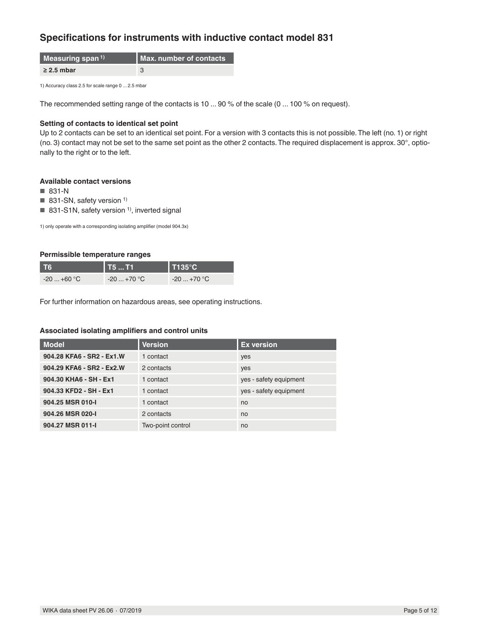### **Specifications for instruments with inductive contact model 831**

| Measuring span $^{1)}$ | Max. number of contacts |
|------------------------|-------------------------|
| $\geq$ 2.5 mbar        |                         |

1) Accuracy class 2.5 for scale range 0 ... 2.5 mbar

The recommended setting range of the contacts is 10 ... 90 % of the scale (0 ... 100 % on request).

### **Setting of contacts to identical set point**

Up to 2 contacts can be set to an identical set point. For a version with 3 contacts this is not possible. The left (no. 1) or right (no. 3) contact may not be set to the same set point as the other 2 contacts. The required displacement is approx. 30°, optionally to the right or to the left.

### **Available contact versions**

- 831-N
- $\blacksquare$  831-SN, safety version <sup>1)</sup>
- 831-S1N, safety version  $1$ <sup>)</sup>, inverted signal

1) only operate with a corresponding isolating amplifier (model 904.3x)

### **Permissible temperature ranges**

| та          | T5  T1           | $1$ T135°C. |
|-------------|------------------|-------------|
| $-20+60$ °C | $-20+70$ °C $\,$ | $-20+70$ °C |

For further information on hazardous areas, see operating instructions.

### **Associated isolating amplifiers and control units**

| <b>Model</b>              | <b>Version</b>    | <b>Ex version</b>      |
|---------------------------|-------------------|------------------------|
| 904.28 KFA6 - SR2 - Ex1.W | 1 contact         | yes                    |
| 904.29 KFA6 - SR2 - Ex2.W | 2 contacts        | yes                    |
| 904.30 KHA6 - SH - Ex1    | 1 contact         | yes - safety equipment |
| 904.33 KFD2 - SH - Ex1    | 1 contact         | yes - safety equipment |
| 904.25 MSR 010-I          | 1 contact         | no                     |
| 904.26 MSR 020-I          | 2 contacts        | no                     |
| 904.27 MSR 011-I          | Two-point control | no                     |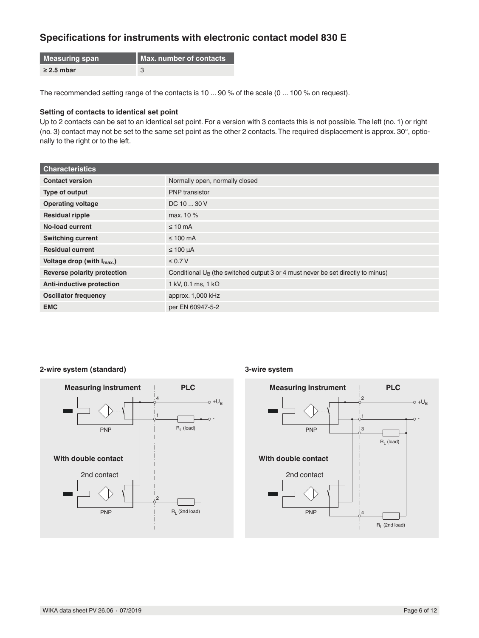## **Specifications for instruments with electronic contact model 830 E**

| Measuring span  | Max. number of contacts |
|-----------------|-------------------------|
| $\geq$ 2.5 mbar |                         |

The recommended setting range of the contacts is 10 ... 90 % of the scale (0 ... 100 % on request).

### **Setting of contacts to identical set point**

Up to 2 contacts can be set to an identical set point. For a version with 3 contacts this is not possible. The left (no. 1) or right (no. 3) contact may not be set to the same set point as the other 2 contacts. The required displacement is approx. 30°, optionally to the right or to the left.

| <b>Characteristics</b>           |                                                                                    |
|----------------------------------|------------------------------------------------------------------------------------|
| <b>Contact version</b>           | Normally open, normally closed                                                     |
| Type of output                   | <b>PNP</b> transistor                                                              |
| <b>Operating voltage</b>         | DC 10  30 V                                                                        |
| <b>Residual ripple</b>           | max. 10 %                                                                          |
| No-load current                  | $\leq 10$ mA                                                                       |
| <b>Switching current</b>         | $\leq 100$ mA                                                                      |
| <b>Residual current</b>          | $\leq 100 \mu A$                                                                   |
| Voltage drop (with $I_{max}$ )   | $\leq 0.7 V$                                                                       |
| Reverse polarity protection      | Conditional $U_B$ (the switched output 3 or 4 must never be set directly to minus) |
| <b>Anti-inductive protection</b> | 1 kV, 0.1 ms, 1 k $\Omega$                                                         |
| <b>Oscillator frequency</b>      | approx. 1,000 kHz                                                                  |
| <b>EMC</b>                       | per EN 60947-5-2                                                                   |

### **2-wire system (standard)**



### **3-wire system**

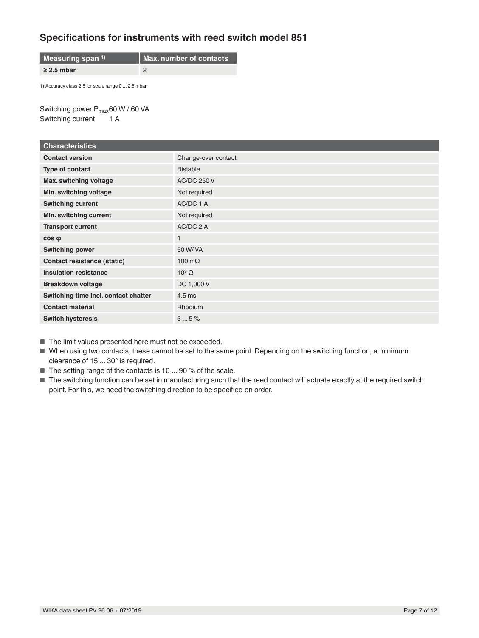### **Specifications for instruments with reed switch model 851**

**Measuring span 1) Max. number of contacts ≥ 2.5 mbar** 2

1) Accuracy class 2.5 for scale range 0 ... 2.5 mbar

Switching power P<sub>max</sub>60 W / 60 VA Switching current 1 A

| <b>Characteristics</b>               |                     |
|--------------------------------------|---------------------|
| <b>Contact version</b>               | Change-over contact |
| Type of contact                      | <b>Bistable</b>     |
| Max. switching voltage               | <b>AC/DC 250 V</b>  |
| Min. switching voltage               | Not required        |
| <b>Switching current</b>             | AC/DC 1 A           |
| Min. switching current               | Not required        |
| <b>Transport current</b>             | AC/DC 2 A           |
| $cos \phi$                           | 1                   |
| <b>Switching power</b>               | 60 W/ VA            |
| Contact resistance (static)          | 100 $m\Omega$       |
| <b>Insulation resistance</b>         | $10^9 \Omega$       |
| <b>Breakdown voltage</b>             | DC 1,000 V          |
| Switching time incl. contact chatter | $4.5$ ms            |
| <b>Contact material</b>              | <b>Rhodium</b>      |
| <b>Switch hysteresis</b>             | 35%                 |

■ The limit values presented here must not be exceeded.

■ When using two contacts, these cannot be set to the same point. Depending on the switching function, a minimum clearance of 15 ... 30° is required.

- The setting range of the contacts is 10 ... 90 % of the scale.
- The switching function can be set in manufacturing such that the reed contact will actuate exactly at the required switch point. For this, we need the switching direction to be specified on order.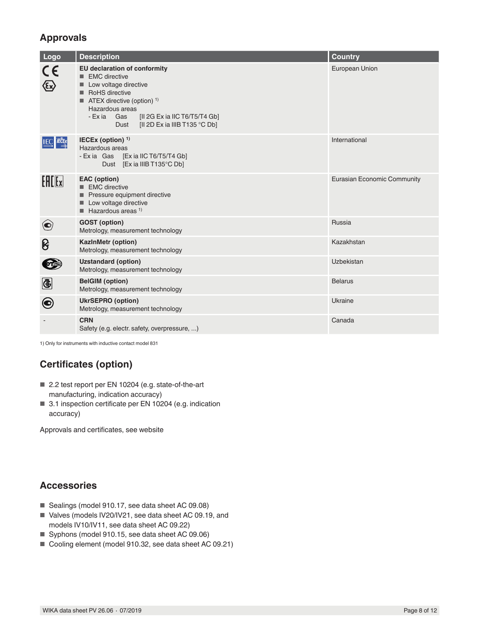## **Approvals**

| Logo         | <b>Description</b>                                                                                                                                                                                                                                                                     | <b>Country</b>              |
|--------------|----------------------------------------------------------------------------------------------------------------------------------------------------------------------------------------------------------------------------------------------------------------------------------------|-----------------------------|
| $C \in$      | EU declaration of conformity<br>$\blacksquare$ EMC directive<br>Low voltage directive<br><b>RoHS</b> directive<br>■<br>$\blacksquare$ ATEX directive (option) <sup>1)</sup><br>Hazardous areas<br>- Exia Gas<br>[II 2G Ex ia IIC T6/T5/T4 Gb]<br>[II 2D Ex ia IIIB T135 °C Db]<br>Dust | European Union              |
| <b>IECEx</b> | IECEx (option) $1$<br>Hazardous areas<br>- Exia Gas [Exia IIC T6/T5/T4 Gb]<br>Dust [Ex ia IIIB T135°C Db]                                                                                                                                                                              | International               |
| $F = F$      | <b>EAC</b> (option)<br>■ EMC directive<br>Pressure equipment directive<br>Low voltage directive<br>$\blacksquare$ Hazardous areas <sup>1)</sup>                                                                                                                                        | Eurasian Economic Community |
| $\left( $    | <b>GOST</b> (option)<br>Metrology, measurement technology                                                                                                                                                                                                                              | Russia                      |
| ၆            | <b>KazinMetr (option)</b><br>Metrology, measurement technology                                                                                                                                                                                                                         | Kazakhstan                  |
|              | <b>Uzstandard (option)</b><br>Metrology, measurement technology                                                                                                                                                                                                                        | Uzbekistan                  |
| $\bigcirc$   | <b>BelGIM</b> (option)<br>Metrology, measurement technology                                                                                                                                                                                                                            | <b>Belarus</b>              |
| 0            | <b>UkrSEPRO</b> (option)<br>Metrology, measurement technology                                                                                                                                                                                                                          | Ukraine                     |
|              | <b>CRN</b><br>Safety (e.g. electr. safety, overpressure, )                                                                                                                                                                                                                             | Canada                      |

1) Only for instruments with inductive contact model 831

# **Certificates (option)**

- 2.2 test report per EN 10204 (e.g. state-of-the-art manufacturing, indication accuracy)
- 3.1 inspection certificate per EN 10204 (e.g. indication accuracy)

Approvals and certificates, see website

## **Accessories**

- Sealings (model 910.17, see data sheet AC 09.08)
- Valves (models IV20/IV21, see data sheet AC 09.19, and models IV10/IV11, see data sheet AC 09.22)
- Syphons (model 910.15, see data sheet AC 09.06)
- Cooling element (model 910.32, see data sheet AC 09.21)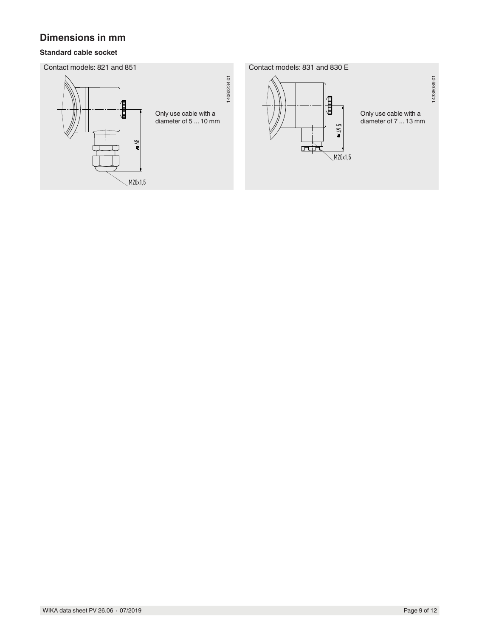## **Dimensions in mm**

### **Standard cable socket**

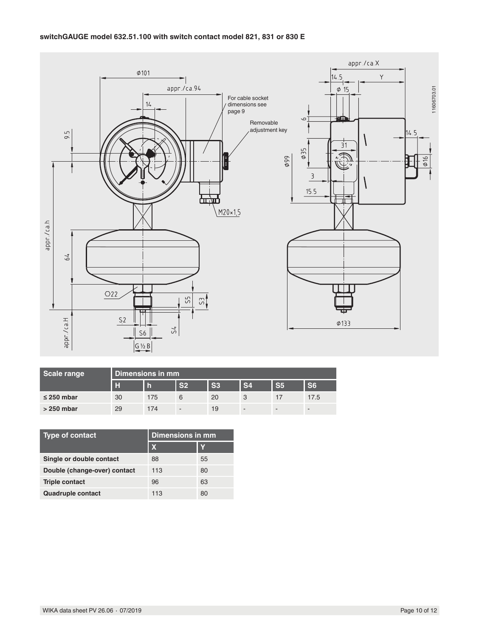

| Scale range     | Dimensions in mm |     |                |                |                |                |                |
|-----------------|------------------|-----|----------------|----------------|----------------|----------------|----------------|
|                 | в                |     | S <sub>2</sub> | S <sub>3</sub> | S <sub>4</sub> | S <sub>5</sub> | S <sub>6</sub> |
| $\leq$ 250 mbar | 30               | 175 | 6              | 20             |                | $\frac{1}{2}$  | 17.5           |
| $>250$ mbar     | 29               | 174 | -              | 19             | -              | -              | -              |

| <b>Type of contact</b>       | <b>Dimensions in mm</b> |    |  |
|------------------------------|-------------------------|----|--|
|                              | X                       |    |  |
| Single or double contact     | 88                      | 55 |  |
| Double (change-over) contact | 113                     | 80 |  |
| <b>Triple contact</b>        | 96                      | 63 |  |
| <b>Quadruple contact</b>     | 113                     | 80 |  |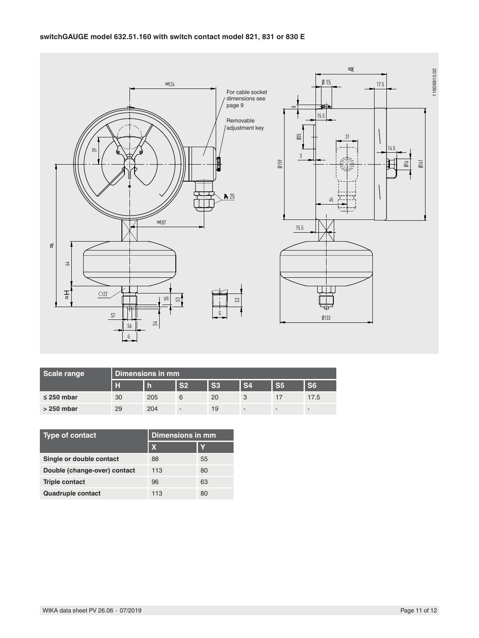

| Scale range     | Dimensions in mm |     |                |                |                |                |                          |
|-----------------|------------------|-----|----------------|----------------|----------------|----------------|--------------------------|
|                 | г                | m   | S <sub>2</sub> | S <sub>3</sub> | S <sub>4</sub> | S <sub>5</sub> | S <sub>6</sub>           |
| $\leq$ 250 mbar | 30               | 205 | 6              | 20             |                | 17             | 17.5                     |
| $>250$ mbar     | 29               | 204 | -              | 19             |                | $\sim$         | $\overline{\phantom{a}}$ |

| Type of contact              | <b>Dimensions in mm</b> |    |  |
|------------------------------|-------------------------|----|--|
|                              | X                       | Y  |  |
| Single or double contact     | 88                      | 55 |  |
| Double (change-over) contact | 113                     | 80 |  |
| <b>Triple contact</b>        | 96                      | 63 |  |
| <b>Quadruple contact</b>     | 113                     | 80 |  |